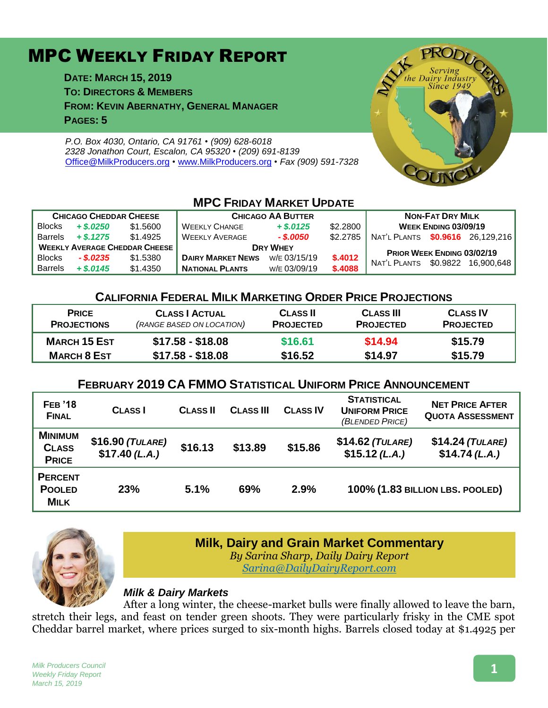# MPC WEEKLY FRIDAY REPORT

**DATE: MARCH 15, 2019 TO: DIRECTORS & MEMBERS FROM: KEVIN ABERNATHY, GENERAL MANAGER PAGES: 5**

*P.O. Box 4030, Ontario, CA 91761 • (909) 628-6018 2328 Jonathon Court, Escalon, CA 95320 • (209) 691-8139* [Office@MilkProducers.org](mailto:office@milkproducers.org) *•* [www.MilkProducers.org](http://www.milkproducers.org/) *• Fax (909) 591-7328*



#### **MPC FRIDAY MARKET UPDATE**

| <b>CHICAGO CHEDDAR CHEESE</b>        |             |          | <b>CHICAGO AA BUTTER</b> |              |          | <b>NON-FAT DRY MILK</b>           |                             |                     |
|--------------------------------------|-------------|----------|--------------------------|--------------|----------|-----------------------------------|-----------------------------|---------------------|
| <b>Blocks</b>                        | $+$ \$.0250 | \$1,5600 | <b>WEEKLY CHANGE</b>     | $+$ \$.0125  | \$2,2800 |                                   | <b>WEEK ENDING 03/09/19</b> |                     |
| <b>Barrels</b>                       | $+$ \$.1275 | \$1.4925 | <b>WEEKLY AVERAGE</b>    | - \$.0050    | \$2.2785 | NAT'L PLANTS \$0.9616 26.129.216  |                             |                     |
| <b>WEEKLY AVERAGE CHEDDAR CHEESE</b> |             |          | <b>DRY WHEY</b>          |              |          | <b>PRIOR WEEK ENDING 03/02/19</b> |                             |                     |
| <b>Blocks</b>                        | $-$ \$.0235 | \$1,5380 | <b>DAIRY MARKET NEWS</b> | W/E 03/15/19 | \$.4012  | NAT'L PLANTS                      |                             | \$0.9822 16.900.648 |
| <b>Barrels</b>                       | $+$ \$.0145 | \$1,4350 | <b>NATIONAL PLANTS</b>   | W/E 03/09/19 | \$.4088  |                                   |                             |                     |

#### **CALIFORNIA FEDERAL MILK MARKETING ORDER PRICE PROJECTIONS**

| <b>PRICE</b>        | <b>CLASS   ACTUAL</b>     | <b>CLASS II</b>  | <b>CLASS III</b> | <b>CLASS IV</b>  |
|---------------------|---------------------------|------------------|------------------|------------------|
| <b>PROJECTIONS</b>  | (RANGE BASED ON LOCATION) | <b>PROJECTED</b> | <b>PROJECTED</b> | <b>PROJECTED</b> |
| <b>MARCH 15 EST</b> | $$17.58 - $18.08$         | \$16.61          | \$14.94          | \$15.79          |
| <b>MARCH 8 EST</b>  | $$17.58 - $18.08$         | \$16.52          | \$14.97          | \$15.79          |

#### **FEBRUARY 2019 CA FMMO STATISTICAL UNIFORM PRICE ANNOUNCEMENT**

| <b>FEB</b> '18<br><b>FINAL</b>                 | <b>CLASS</b>                       | <b>CLASS II</b> | <b>CLASS III</b> | <b>CLASS IV</b> | <b>STATISTICAL</b><br><b>UNIFORM PRICE</b><br>(BLENDED PRICE) | <b>NET PRICE AFTER</b><br><b>QUOTA ASSESSMENT</b> |
|------------------------------------------------|------------------------------------|-----------------|------------------|-----------------|---------------------------------------------------------------|---------------------------------------------------|
| <b>MINIMUM</b><br><b>CLASS</b><br><b>PRICE</b> | $$16.90$ (TULARE)<br>\$17.40(L.A.) | \$16.13         | \$13.89          | \$15.86         | $$14.62$ (TULARE)<br>$$15.12$ (L.A.)                          | \$14.24 (TULARE)<br>\$14.74(L.A.)                 |
| <b>PERCENT</b><br><b>POOLED</b><br><b>MILK</b> | 23%                                | 5.1%            | 69%              | 2.9%            |                                                               | 100% (1.83 BILLION LBS. POOLED)                   |



#### **Milk, Dairy and Grain Market Commentary**

*By Sarina Sharp, Daily Dairy Report [Sarina@DailyDairyReport.com](mailto:Sarina@DailyDairyReport.com)*

#### *Milk & Dairy Markets*

After a long winter, the cheese-market bulls were finally allowed to leave the barn, stretch their legs, and feast on tender green shoots. They were particularly frisky in the CME spot Cheddar barrel market, where prices surged to six-month highs. Barrels closed today at \$1.4925 per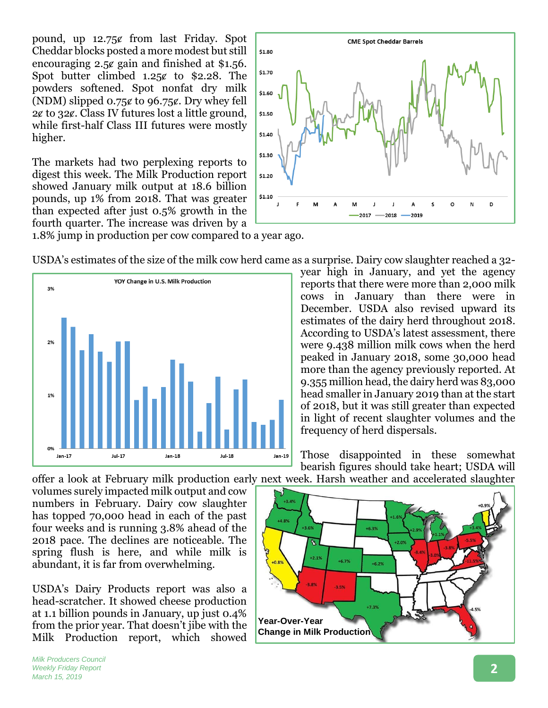pound, up 12.75ȼ from last Friday. Spot Cheddar blocks posted a more modest but still encouraging 2.5¢ gain and finished at \$1.56. Spot butter climbed  $1.25¢$  to \$2.28. The powders softened. Spot nonfat dry milk (NDM) slipped  $0.75¢$  to 96.75 $¢$ . Dry whey fell  $2¢$  to  $32¢$ . Class IV futures lost a little ground, while first-half Class III futures were mostly higher.

The markets had two perplexing reports to digest this week. The Milk Production report showed January milk output at 18.6 billion pounds, up 1% from 2018. That was greater than expected after just 0.5% growth in the fourth quarter. The increase was driven by a



1.8% jump in production per cow compared to a year ago.





year high in January, and yet the agency reports that there were more than 2,000 milk cows in January than there were in December. USDA also revised upward its estimates of the dairy herd throughout 2018. According to USDA's latest assessment, there were 9.438 million milk cows when the herd peaked in January 2018, some 30,000 head more than the agency previously reported. At 9.355 million head, the dairy herd was 83,000 head smaller in January 2019 than at the start of 2018, but it was still greater than expected in light of recent slaughter volumes and the frequency of herd dispersals.

Those disappointed in these somewhat bearish figures should take heart; USDA will

offer a look at February milk production early next week. Harsh weather and accelerated slaughter volumes surely impacted milk output and cow numbers in February. Dairy cow slaughter has topped 70,000 head in each of the past four weeks and is running 3.8% ahead of the 2018 pace. The declines are noticeable. The spring flush is here, and while milk is abundant, it is far from overwhelming.

USDA's Dairy Products report was also a head-scratcher. It showed cheese production at 1.1 billion pounds in January, up just 0.4% from the prior year. That doesn't jibe with the Milk Production report, which showed

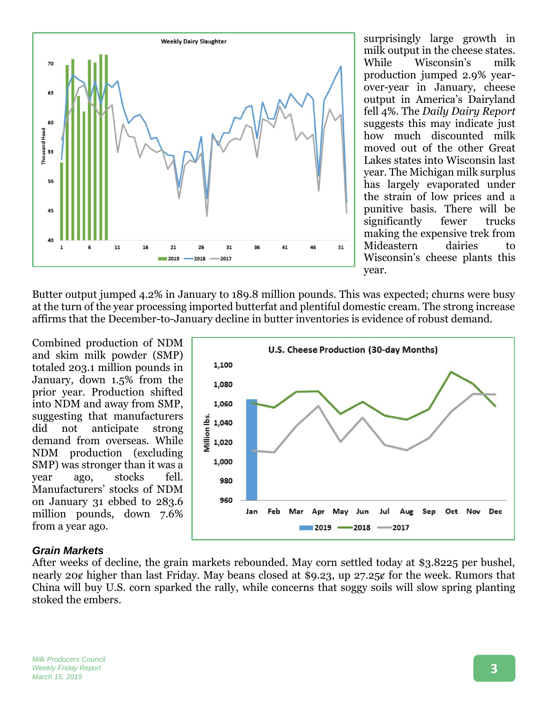

surprisingly large growth in milk output in the cheese states. While Wisconsin's milk production jumped 2.9% yearover-year in January, cheese output in America's Dairyland fell 4%. The *Daily Dairy Report* suggests this may indicate just how much discounted milk moved out of the other Great Lakes states into Wisconsin last year. The Michigan milk surplus has largely evaporated under the strain of low prices and a punitive basis. There will be significantly fewer trucks making the expensive trek from Mideastern dairies to Wisconsin's cheese plants this year.

Butter output jumped 4.2% in January to 189.8 million pounds. This was expected; churns were busy at the turn of the year processing imported butterfat and plentiful domestic cream. The strong increase affirms that the December-to-January decline in butter inventories is evidence of robust demand.

Combined production of NDM and skim milk powder (SMP) totaled 203.1 million pounds in January, down 1.5% from the prior year. Production shifted into NDM and away from SMP, suggesting that manufacturers did not anticipate strong demand from overseas. While NDM production (excluding SMP) was stronger than it was a year ago, stocks fell. Manufacturers' stocks of NDM on January 31 ebbed to 283.6 million pounds, down 7.6% from a year ago.



#### *Grain Markets*

After weeks of decline, the grain markets rebounded. May corn settled today at \$3.8225 per bushel, nearly 20¢ higher than last Friday. May beans closed at \$9.23, up 27.25¢ for the week. Rumors that China will buy U.S. corn sparked the rally, while concerns that soggy soils will slow spring planting stoked the embers.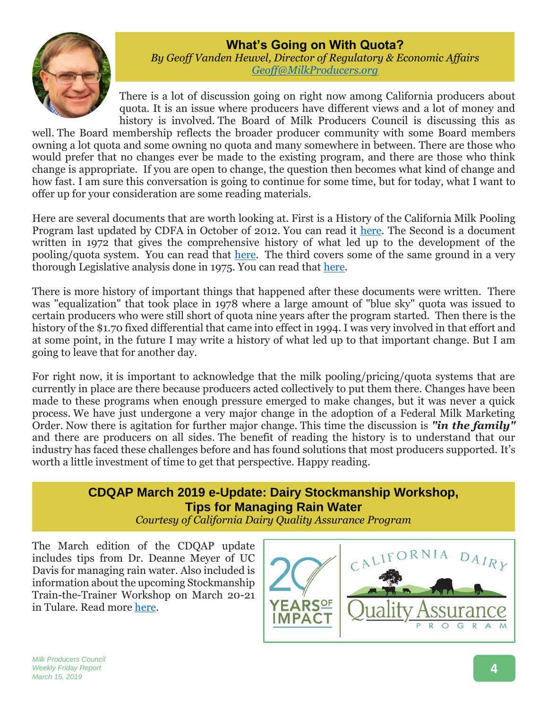#### **What's Going on With Quota?**



*By Geoff Vanden Heuvel, Director of Regulatory & Economic Affairs [Geoff@MilkProducers.org](mailto:Geoff@MilkProducers.org)*

There is a lot of discussion going on right now among California producers about quota. It is an issue where producers have different views and a lot of money and history is involved. The Board of Milk Producers Council is discussing this as

well. The Board membership reflects the broader producer community with some Board members owning a lot quota and some owning no quota and many somewhere in between. There are those who would prefer that no changes ever be made to the existing program, and there are those who think change is appropriate. If you are open to change, the question then becomes what kind of change and how fast. I am sure this conversation is going to continue for some time, but for today, what I want to offer up for your consideration are some reading materials.

Here are several documents that are worth looking at. First is a History of the California Milk Pooling Program last updated by CDFA in October of 2012. You can read it [here.](http://www.milkproducerscouncil.org/wp-content/uploads/History_of_pooling.pdf) The Second is a document written in 1972 that gives the comprehensive history of what led up to the development of the pooling/quota system. You can read that [here.](http://www.milkproducerscouncil.org/wp-content/uploads/1965CDFABulletinUpdated1972ForMilkPooling.pdf) The third covers some of the same ground in a very thorough Legislative analysis done in 1975. You can read that [here.](http://www.milkproducerscouncil.org/wp-content/uploads/1975LegislativeAnalystReportOnCAMilkPricing.pdf)

There is more history of important things that happened after these documents were written. There was "equalization" that took place in 1978 where a large amount of "blue sky" quota was issued to certain producers who were still short of quota nine years after the program started. Then there is the history of the \$1.70 fixed differential that came into effect in 1994. I was very involved in that effort and at some point, in the future I may write a history of what led up to that important change. But I am going to leave that for another day.

For right now, it is important to acknowledge that the milk pooling/pricing/quota systems that are currently in place are there because producers acted collectively to put them there. Changes have been made to these programs when enough pressure emerged to make changes, but it was never a quick process. We have just undergone a very major change in the adoption of a Federal Milk Marketing Order. Now there is agitation for further major change. This time the discussion is *"in the family"* and there are producers on all sides. The benefit of reading the history is to understand that our industry has faced these challenges before and has found solutions that most producers supported. It's worth a little investment of time to get that perspective. Happy reading.

#### **CDQAP March 2019 e-Update: Dairy Stockmanship Workshop, Tips for Managing Rain Water**

*Courtesy of California Dairy Quality Assurance Program*

The March edition of the CDQAP update includes tips from Dr. Deanne Meyer of UC Davis for managing rain water. Also included is information about the upcoming Stockmanship Train-the-Trainer Workshop on March 20-21 in Tulare. Read more [here.](http://cdrf.org/wp-content/uploads/2019/03/2019-CDQAP-March-Newsletter.pdf)